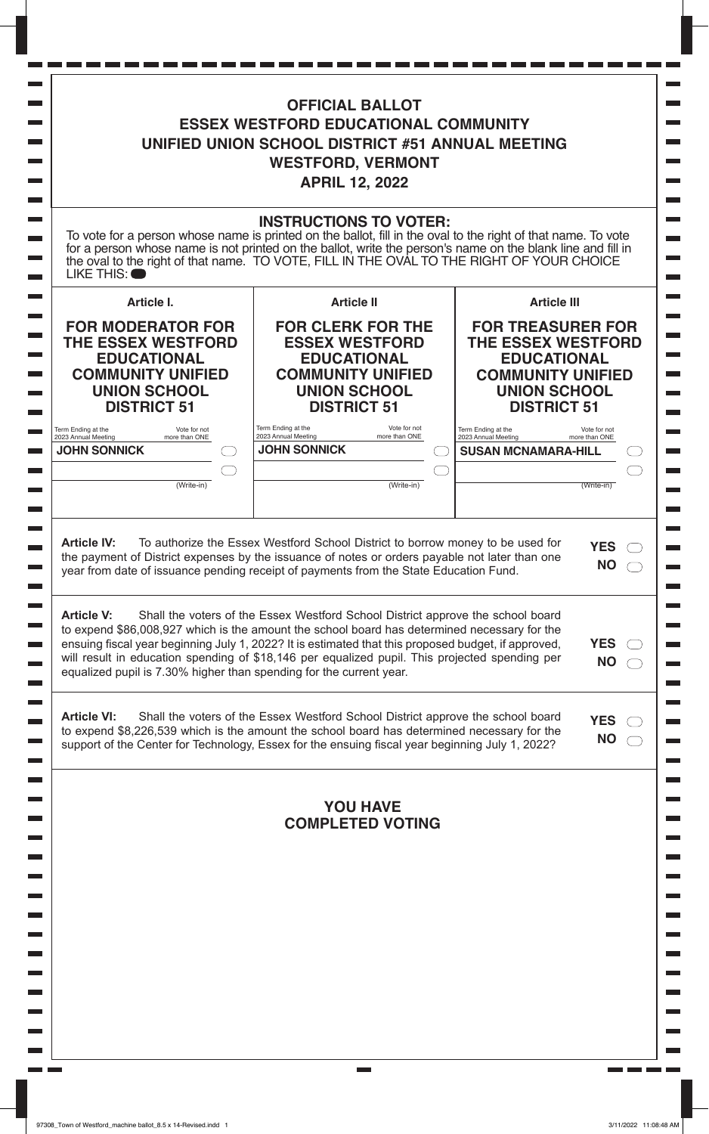| <b>OFFICIAL BALLOT</b><br><b>ESSEX WESTFORD EDUCATIONAL COMMUNITY</b><br>UNIFIED UNION SCHOOL DISTRICT #51 ANNUAL MEETING<br><b>WESTFORD, VERMONT</b><br><b>APRIL 12, 2022</b> |                                                                                                                                                                                                                                                                                                                                                                                                                                                              |                                                                                                                                                                            |
|--------------------------------------------------------------------------------------------------------------------------------------------------------------------------------|--------------------------------------------------------------------------------------------------------------------------------------------------------------------------------------------------------------------------------------------------------------------------------------------------------------------------------------------------------------------------------------------------------------------------------------------------------------|----------------------------------------------------------------------------------------------------------------------------------------------------------------------------|
| LIKE THIS:                                                                                                                                                                     | <b>INSTRUCTIONS TO VOTER:</b><br>To vote for a person whose name is printed on the ballot, fill in the oval to the right of that name. To vote for a person whose name is not printed on the ballot, write the person's name on the blank line and fill in the                                                                                                                                                                                               |                                                                                                                                                                            |
| Article I.<br><b>FOR MODERATOR FOR</b><br><b>THE ESSEX WESTFORD</b><br><b>EDUCATIONAL</b><br><b>COMMUNITY UNIFIED</b><br><b>UNION SCHOOL</b><br><b>DISTRICT 51</b>             | <b>Article II</b><br><b>FOR CLERK FOR THE</b><br><b>ESSEX WESTFORD</b><br><b>EDUCATIONAL</b><br><b>COMMUNITY UNIFIED</b><br><b>UNION SCHOOL</b><br><b>DISTRICT 51</b>                                                                                                                                                                                                                                                                                        | <b>Article III</b><br><b>FOR TREASURER FOR</b><br><b>THE ESSEX WESTFORD</b><br><b>EDUCATIONAL</b><br><b>COMMUNITY UNIFIED</b><br><b>UNION SCHOOL</b><br><b>DISTRICT 51</b> |
| Term Ending at the<br>Vote for not<br>2023 Annual Meeting<br>more than ONE<br><b>JOHN SONNICK</b><br>(Write-in)                                                                | Term Ending at the<br>Vote for not<br>2023 Annual Meeting<br>more than ONE<br><b>JOHN SONNICK</b><br>(Write-in)                                                                                                                                                                                                                                                                                                                                              | Term Ending at the<br>Vote for not<br>2023 Annual Meeting<br>more than ONE<br><b>SUSAN MCNAMARA-HILL</b><br>(Write-in)                                                     |
| <b>Article IV:</b><br><b>Article V:</b>                                                                                                                                        | To authorize the Essex Westford School District to borrow money to be used for<br>the payment of District expenses by the issuance of notes or orders payable not later than one<br>year from date of issuance pending receipt of payments from the State Education Fund.<br>Shall the voters of the Essex Westford School District approve the school board<br>to expend \$86,008,927 which is the amount the school board has determined necessary for the | <b>YES</b><br><b>NO</b>                                                                                                                                                    |
| equalized pupil is 7.30% higher than spending for the current year.                                                                                                            | ensuing fiscal year beginning July 1, 2022? It is estimated that this proposed budget, if approved,<br>will result in education spending of \$18,146 per equalized pupil. This projected spending per                                                                                                                                                                                                                                                        | <b>YES</b><br><b>NO</b>                                                                                                                                                    |
| <b>Article VI:</b>                                                                                                                                                             | Shall the voters of the Essex Westford School District approve the school board<br>to expend \$8,226,539 which is the amount the school board has determined necessary for the<br>support of the Center for Technology, Essex for the ensuing fiscal year beginning July 1, 2022?                                                                                                                                                                            | <b>YES</b><br><b>NO</b>                                                                                                                                                    |
|                                                                                                                                                                                |                                                                                                                                                                                                                                                                                                                                                                                                                                                              |                                                                                                                                                                            |
|                                                                                                                                                                                | <b>YOU HAVE</b><br><b>COMPLETED VOTING</b>                                                                                                                                                                                                                                                                                                                                                                                                                   |                                                                                                                                                                            |
|                                                                                                                                                                                |                                                                                                                                                                                                                                                                                                                                                                                                                                                              |                                                                                                                                                                            |